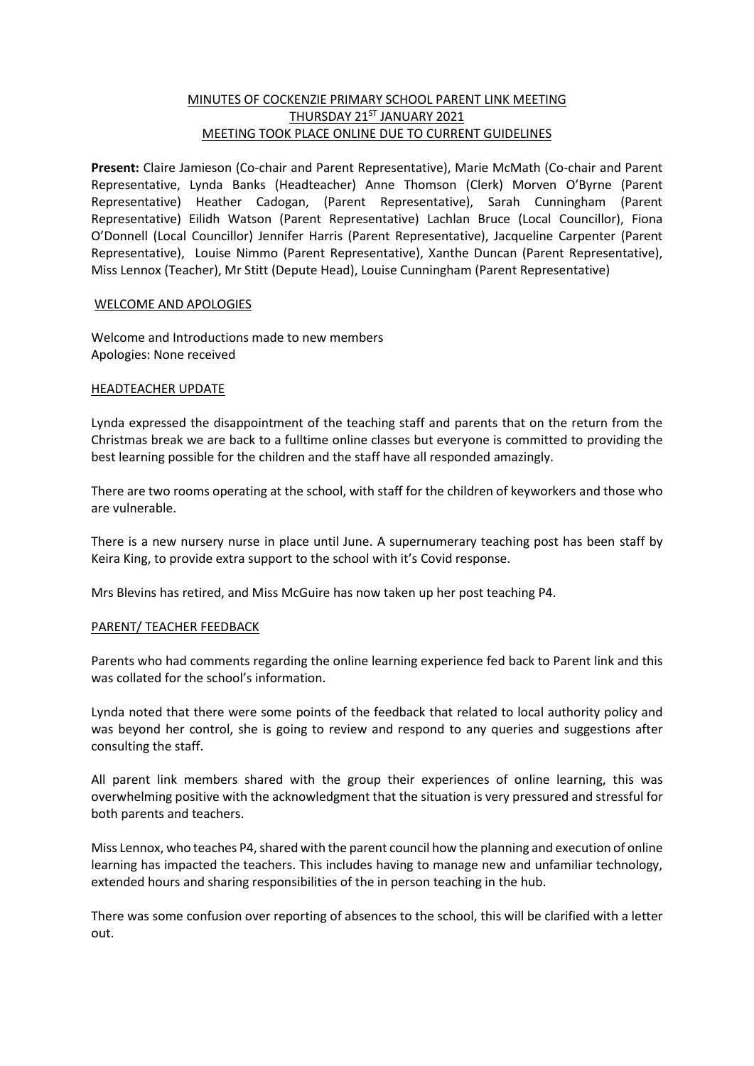## MINUTES OF COCKENZIE PRIMARY SCHOOL PARENT LINK MEETING THURSDAY 21ST JANUARY 2021 MEETING TOOK PLACE ONLINE DUE TO CURRENT GUIDELINES

**Present:** Claire Jamieson (Co-chair and Parent Representative), Marie McMath (Co-chair and Parent Representative, Lynda Banks (Headteacher) Anne Thomson (Clerk) Morven O'Byrne (Parent Representative) Heather Cadogan, (Parent Representative), Sarah Cunningham (Parent Representative) Eilidh Watson (Parent Representative) Lachlan Bruce (Local Councillor), Fiona O'Donnell (Local Councillor) Jennifer Harris (Parent Representative), Jacqueline Carpenter (Parent Representative), Louise Nimmo (Parent Representative), Xanthe Duncan (Parent Representative), Miss Lennox (Teacher), Mr Stitt (Depute Head), Louise Cunningham (Parent Representative)

## WELCOME AND APOLOGIES

Welcome and Introductions made to new members Apologies: None received

## HEADTEACHER UPDATE

Lynda expressed the disappointment of the teaching staff and parents that on the return from the Christmas break we are back to a fulltime online classes but everyone is committed to providing the best learning possible for the children and the staff have all responded amazingly.

There are two rooms operating at the school, with staff for the children of keyworkers and those who are vulnerable.

There is a new nursery nurse in place until June. A supernumerary teaching post has been staff by Keira King, to provide extra support to the school with it's Covid response.

Mrs Blevins has retired, and Miss McGuire has now taken up her post teaching P4.

## PARENT/ TEACHER FEEDBACK

Parents who had comments regarding the online learning experience fed back to Parent link and this was collated for the school's information.

Lynda noted that there were some points of the feedback that related to local authority policy and was beyond her control, she is going to review and respond to any queries and suggestions after consulting the staff.

All parent link members shared with the group their experiences of online learning, this was overwhelming positive with the acknowledgment that the situation is very pressured and stressful for both parents and teachers.

Miss Lennox, who teaches P4, shared with the parent council how the planning and execution of online learning has impacted the teachers. This includes having to manage new and unfamiliar technology, extended hours and sharing responsibilities of the in person teaching in the hub.

There was some confusion over reporting of absences to the school, this will be clarified with a letter out.